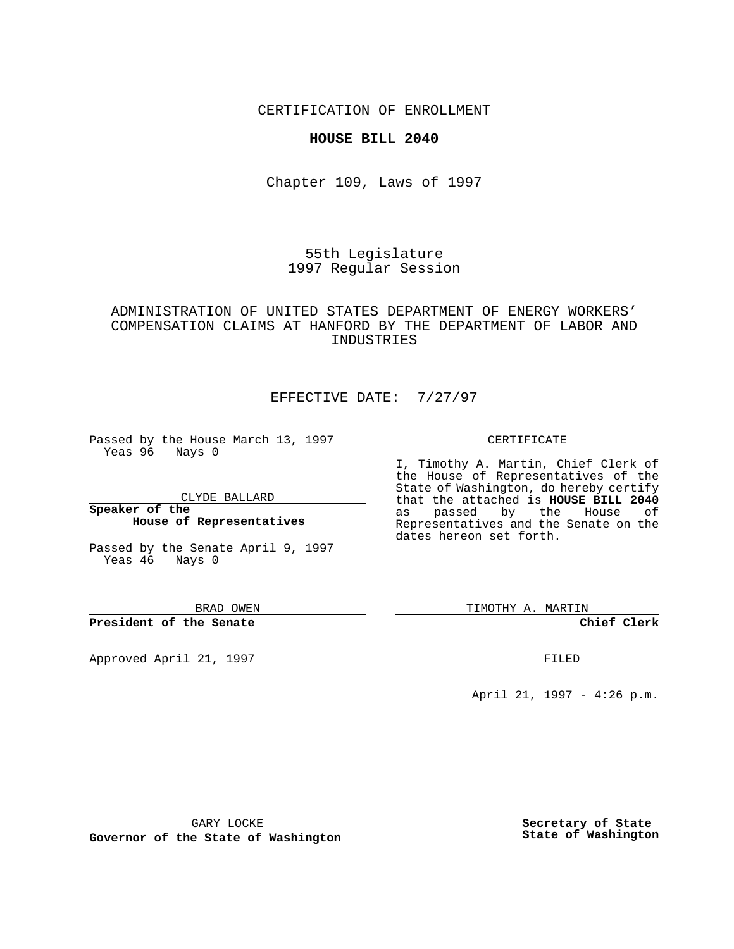CERTIFICATION OF ENROLLMENT

### **HOUSE BILL 2040**

Chapter 109, Laws of 1997

55th Legislature 1997 Regular Session

# ADMINISTRATION OF UNITED STATES DEPARTMENT OF ENERGY WORKERS' COMPENSATION CLAIMS AT HANFORD BY THE DEPARTMENT OF LABOR AND INDUSTRIES

# EFFECTIVE DATE: 7/27/97

Passed by the House March 13, 1997 Yeas 96 Nays 0

CLYDE BALLARD

**Speaker of the House of Representatives**

Passed by the Senate April 9, 1997 Yeas 46 Nays 0

BRAD OWEN

**President of the Senate**

Approved April 21, 1997 **FILED** 

#### CERTIFICATE

I, Timothy A. Martin, Chief Clerk of the House of Representatives of the State of Washington, do hereby certify that the attached is **HOUSE BILL 2040** as passed by the House of Representatives and the Senate on the dates hereon set forth.

TIMOTHY A. MARTIN

**Chief Clerk**

April 21, 1997 - 4:26 p.m.

GARY LOCKE

**Governor of the State of Washington**

**Secretary of State State of Washington**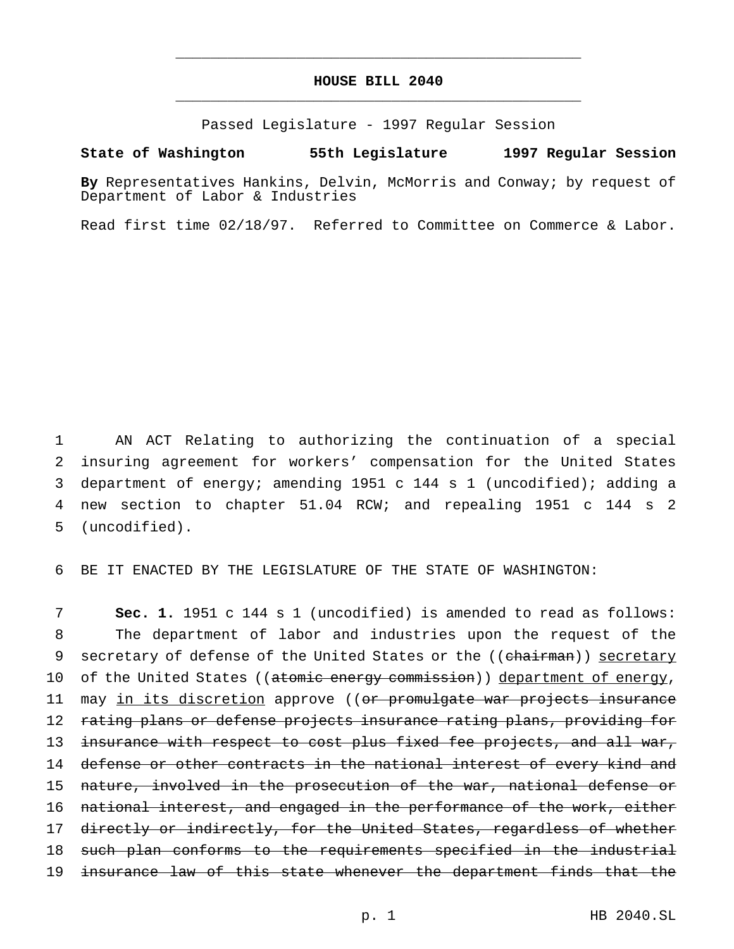## **HOUSE BILL 2040** \_\_\_\_\_\_\_\_\_\_\_\_\_\_\_\_\_\_\_\_\_\_\_\_\_\_\_\_\_\_\_\_\_\_\_\_\_\_\_\_\_\_\_\_\_\_\_

\_\_\_\_\_\_\_\_\_\_\_\_\_\_\_\_\_\_\_\_\_\_\_\_\_\_\_\_\_\_\_\_\_\_\_\_\_\_\_\_\_\_\_\_\_\_\_

Passed Legislature - 1997 Regular Session

### **State of Washington 55th Legislature 1997 Regular Session**

**By** Representatives Hankins, Delvin, McMorris and Conway; by request of Department of Labor & Industries

Read first time 02/18/97. Referred to Committee on Commerce & Labor.

 AN ACT Relating to authorizing the continuation of a special insuring agreement for workers' compensation for the United States department of energy; amending 1951 c 144 s 1 (uncodified); adding a new section to chapter 51.04 RCW; and repealing 1951 c 144 s 2 (uncodified).

6 BE IT ENACTED BY THE LEGISLATURE OF THE STATE OF WASHINGTON:

7 **Sec. 1.** 1951 c 144 s 1 (uncodified) is amended to read as follows: 8 The department of labor and industries upon the request of the 9 secretary of defense of the United States or the ((chairman)) secretary 10 of the United States ((atomic energy commission)) department of energy, 11 may in its discretion approve ((or promulgate war projects insurance 12 rating plans or defense projects insurance rating plans, providing for 13 insurance with respect to cost plus fixed fee projects, and all war, 14 defense or other contracts in the national interest of every kind and 15 nature, involved in the prosecution of the war, national defense or 16 national interest, and engaged in the performance of the work, either 17 directly or indirectly, for the United States, regardless of whether 18 such plan conforms to the requirements specified in the industrial 19 insurance law of this state whenever the department finds that the